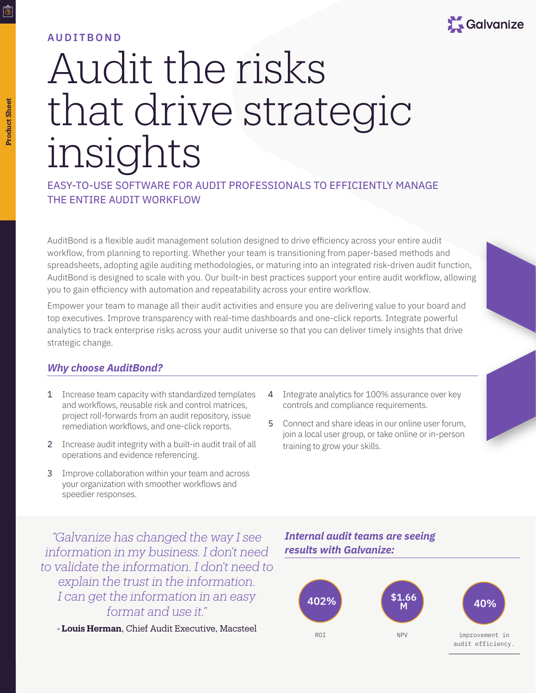

## **AUDITBOND**

# Audit the risks that drive strategic insights

EASY-TO-USE SOFTWARE FOR AUDIT PROFESSIONALS TO EFFICIENTLY MANAGE THE ENTIRE AUDIT WORKFLOW

AuditBond is a flexible audit management solution designed to drive efficiency across your entire audit workflow, from planning to reporting. Whether your team is transitioning from paper-based methods and spreadsheets, adopting agile auditing methodologies, or maturing into an integrated risk-driven audit function, AuditBond is designed to scale with you. Our built-in best practices support your entire audit workflow, allowing you to gain efficiency with automation and repeatability across your entire workflow.

Empower your team to manage all their audit activities and ensure you are delivering value to your board and top executives. Improve transparency with real-time dashboards and one-click reports. Integrate powerful analytics to track enterprise risks across your audit universe so that you can deliver timely insights that drive strategic change.

## *Why choose AuditBond?*

- 1 Increase team capacity with standardized templates and workflows, reusable risk and control matrices, project roll-forwards from an audit repository, issue remediation workflows, and one-click reports.
- 2 Increase audit integrity with a built-in audit trail of all operations and evidence referencing.
- 3 Improve collaboration within your team and across your organization with smoother workflows and speedier responses.
- 4 Integrate analytics for 100% assurance over key controls and compliance requirements.
- 5 Connect and share ideas in our online user forum, join a local user group, or take online or in-person training to grow your skills.

*"Galvanize has changed the way I see information in my business. I don't need to validate the information. I don't need to explain the trust in the information. I can get the information in an easy format and use it."*

**- Louis Herman**, Chief Audit Executive, Macsteel

## *Internal audit teams are seeing results with Galvanize:*